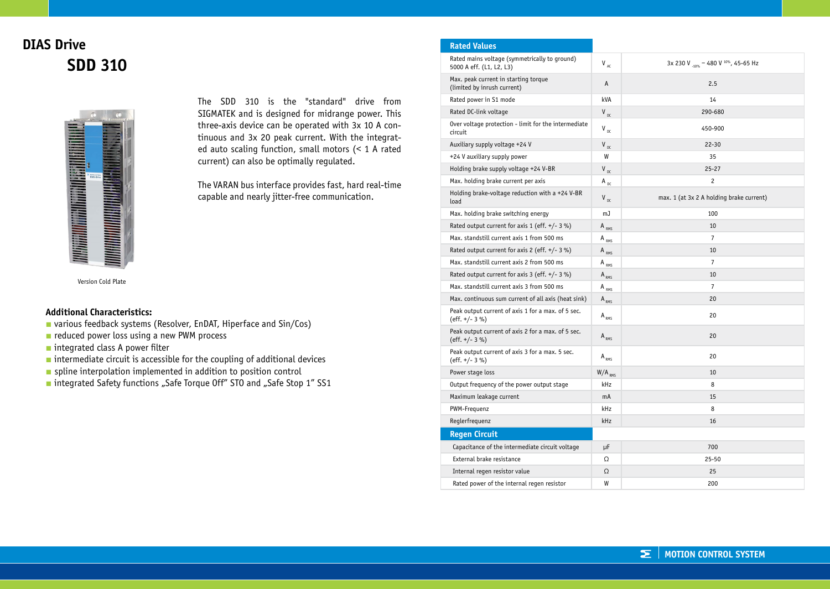## **DIAS Drive SDD 310**



The SDD 310 is the "standard" drive from SIGMATEK and is designed for midrange power. This three-axis device can be operated with 3x 10 A continuous and 3x 20 peak current. With the integrated auto scaling function, small motors (< 1 A rated current) can also be optimally regulated.

The VARAN bus interface provides fast, hard real-time capable and nearly jitter-free communication.

Version Cold Plate

## **Additional Characteristics:**

- **■** various feedback systems (Resolver, EnDAT, Hiperface and Sin/Cos)
- **■** reduced power loss using a new PWM process
- integrated class A power filter
- intermediate circuit is accessible for the coupling of additional devices
- spline interpolation implemented in addition to position control
- integrated Safety functions "Safe Torque Off" STO and "Safe Stop 1" SS1

| <b>Rated Values</b>                                                       |                                 |                                          |
|---------------------------------------------------------------------------|---------------------------------|------------------------------------------|
| Rated mains voltage (symmetrically to ground)<br>5000 A eff. (L1, L2, L3) | $\mathsf{V}_{\mathsf{AC}}$      | 3x 230 V -10% - 480 V 10%, 45-65 Hz      |
| Max. peak current in starting torque<br>(limited by inrush current)       | Α                               | 2.5                                      |
| Rated power in S1 mode                                                    | kVA                             | 14                                       |
| Rated DC-link voltage                                                     | $V_{\text{nc}}$                 | 290-680                                  |
| Over voltage protection - limit for the intermediate<br>circuit           | $V_{\text{nc}}$                 | 450-900                                  |
| Auxiliary supply voltage +24 V                                            | $V_{DC}$                        | $22 - 30$                                |
| +24 V auxiliary supply power                                              | W                               | 35                                       |
| Holding brake supply voltage +24 V-BR                                     | $V_{DC}$                        | $25 - 27$                                |
| Max. holding brake current per axis                                       | A $_{\rm DC}$                   | $\overline{c}$                           |
| Holding brake-voltage reduction with a +24 V-BR<br>load                   | $V_{\text{nc}}$                 | max. 1 (at 3x 2 A holding brake current) |
| Max. holding brake switching energy                                       | mJ                              | 100                                      |
| Rated output current for axis 1 (eff. $+/- 3 \%$ )                        | $A_{RMS}$                       | 10                                       |
| Max. standstill current axis 1 from 500 ms                                | $A_{RMS}$                       | $\overline{7}$                           |
| Rated output current for axis 2 (eff. $+/- 3$ %)                          | $A_{RMS}$                       | 10                                       |
| Max. standstill current axis 2 from 500 ms                                | A $_{RMS}$                      | $\overline{7}$                           |
| Rated output current for axis 3 (eff. $+/- 3$ %)                          | $A_{RMS}$                       | 10                                       |
| Max. standstill current axis 3 from 500 ms                                | $A_{RMS}$                       | $\overline{7}$                           |
| Max. continuous sum current of all axis (heat sink)                       | $A_{RMS}$                       | 20                                       |
| Peak output current of axis 1 for a max. of 5 sec.<br>$(eff. +/- 3%)$     | $A_{RMS}$                       | 20                                       |
| Peak output current of axis 2 for a max. of 5 sec.<br>(eff. $+/- 3 \%$ )  | $\mathsf{A}_{\text{\tiny RMS}}$ | 20                                       |
| Peak output current of axis 3 for a max. 5 sec.<br>(eff. $+/- 3 \%$ )     | $A_{RMS}$                       | 20                                       |
| Power stage loss                                                          | $W/A$ <sub>RMS</sub>            | 10                                       |
| Output frequency of the power output stage                                | kHz                             | 8                                        |
| Maximum leakage current                                                   | mA                              | 15                                       |
| PWM-Frequenz                                                              | kHz                             | 8                                        |
| Reglerfrequenz                                                            | kHz                             | 16                                       |
| <b>Regen Circuit</b>                                                      |                                 |                                          |
| Capacitance of the intermediate circuit voltage                           | μF                              | 700                                      |
| External brake resistance                                                 | Ω                               | $25 - 50$                                |
| Internal regen resistor value                                             | Ω                               | 25                                       |
| Rated power of the internal regen resistor                                | W                               | 200                                      |